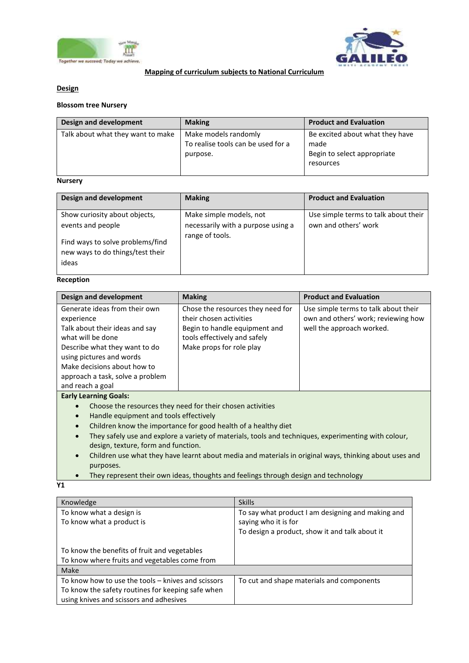



## **Mapping of curriculum subjects to National Curriculum**

## **Design**

## **Blossom tree Nursery**

| Design and development            | <b>Making</b>                                                          | <b>Product and Evaluation</b>                                                       |
|-----------------------------------|------------------------------------------------------------------------|-------------------------------------------------------------------------------------|
| Talk about what they want to make | Make models randomly<br>To realise tools can be used for a<br>purpose. | Be excited about what they have<br>made<br>Begin to select appropriate<br>resources |

# **Nursery**

| Design and development                                                                                                              | <b>Making</b>                                                                    | <b>Product and Evaluation</b>                                |
|-------------------------------------------------------------------------------------------------------------------------------------|----------------------------------------------------------------------------------|--------------------------------------------------------------|
| Show curiosity about objects,<br>events and people<br>Find ways to solve problems/find<br>new ways to do things/test their<br>ideas | Make simple models, not<br>necessarily with a purpose using a<br>range of tools. | Use simple terms to talk about their<br>own and others' work |

## **Reception**

| Design and development                                                                                                                                                                                                             | <b>Making</b>                                                                                                                                             | <b>Product and Evaluation</b>                                                                            |
|------------------------------------------------------------------------------------------------------------------------------------------------------------------------------------------------------------------------------------|-----------------------------------------------------------------------------------------------------------------------------------------------------------|----------------------------------------------------------------------------------------------------------|
| Generate ideas from their own<br>experience<br>Talk about their ideas and say<br>what will be done<br>Describe what they want to do<br>using pictures and words<br>Make decisions about how to<br>approach a task, solve a problem | Chose the resources they need for<br>their chosen activities<br>Begin to handle equipment and<br>tools effectively and safely<br>Make props for role play | Use simple terms to talk about their<br>own and others' work; reviewing how<br>well the approach worked. |
| and reach a goal                                                                                                                                                                                                                   |                                                                                                                                                           |                                                                                                          |
| <b>Early Learning Goals:</b>                                                                                                                                                                                                       |                                                                                                                                                           |                                                                                                          |
| Choose the resources they need for their chosen activities<br>$\bullet$                                                                                                                                                            |                                                                                                                                                           |                                                                                                          |
| Handle caujoment and tools effectively                                                                                                                                                                                             |                                                                                                                                                           |                                                                                                          |

- Handle equipment and tools effectively
- Children know the importance for good health of a healthy diet
- They safely use and explore a variety of materials, tools and techniques, experimenting with colour, design, texture, form and function.
- Children use what they have learnt about media and materials in original ways, thinking about uses and purposes.
- They represent their own ideas, thoughts and feelings through design and technology

**Y1**

| Knowledge                                          | <b>Skills</b>                                     |
|----------------------------------------------------|---------------------------------------------------|
| To know what a design is                           | To say what product I am designing and making and |
| To know what a product is                          | saying who it is for                              |
|                                                    | To design a product, show it and talk about it    |
|                                                    |                                                   |
| To know the benefits of fruit and vegetables       |                                                   |
| To know where fruits and vegetables come from      |                                                   |
| <b>Make</b>                                        |                                                   |
| To know how to use the tools – knives and scissors | To cut and shape materials and components         |
| To know the safety routines for keeping safe when  |                                                   |
| using knives and scissors and adhesives            |                                                   |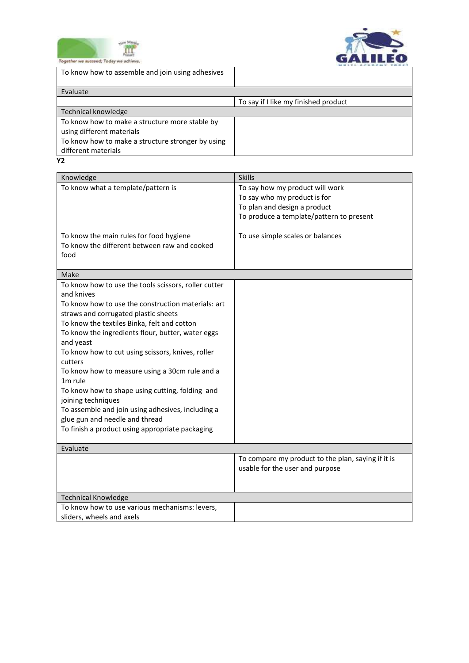



| Together we succeed; Today we achieve             |                                      |
|---------------------------------------------------|--------------------------------------|
| To know how to assemble and join using adhesives  |                                      |
| Evaluate                                          |                                      |
|                                                   | To say if I like my finished product |
| Technical knowledge                               |                                      |
| To know how to make a structure more stable by    |                                      |
| using different materials                         |                                      |
| To know how to make a structure stronger by using |                                      |
| different materials                               |                                      |
| Υ2                                                |                                      |

| Knowledge                                                                           | <b>Skills</b>                                      |
|-------------------------------------------------------------------------------------|----------------------------------------------------|
| To know what a template/pattern is                                                  | To say how my product will work                    |
|                                                                                     | To say who my product is for                       |
|                                                                                     | To plan and design a product                       |
|                                                                                     | To produce a template/pattern to present           |
| To know the main rules for food hygiene                                             | To use simple scales or balances                   |
| To know the different between raw and cooked                                        |                                                    |
| food                                                                                |                                                    |
|                                                                                     |                                                    |
| Make                                                                                |                                                    |
| To know how to use the tools scissors, roller cutter<br>and knives                  |                                                    |
| To know how to use the construction materials: art                                  |                                                    |
| straws and corrugated plastic sheets                                                |                                                    |
| To know the textiles Binka, felt and cotton                                         |                                                    |
| To know the ingredients flour, butter, water eggs                                   |                                                    |
| and yeast                                                                           |                                                    |
| To know how to cut using scissors, knives, roller                                   |                                                    |
| cutters                                                                             |                                                    |
| To know how to measure using a 30cm rule and a                                      |                                                    |
| 1m rule                                                                             |                                                    |
| To know how to shape using cutting, folding and                                     |                                                    |
| joining techniques                                                                  |                                                    |
| To assemble and join using adhesives, including a<br>glue gun and needle and thread |                                                    |
| To finish a product using appropriate packaging                                     |                                                    |
|                                                                                     |                                                    |
| Evaluate                                                                            |                                                    |
|                                                                                     | To compare my product to the plan, saying if it is |
|                                                                                     | usable for the user and purpose                    |
|                                                                                     |                                                    |
|                                                                                     |                                                    |
| <b>Technical Knowledge</b>                                                          |                                                    |
| To know how to use various mechanisms: levers,                                      |                                                    |
| sliders, wheels and axels                                                           |                                                    |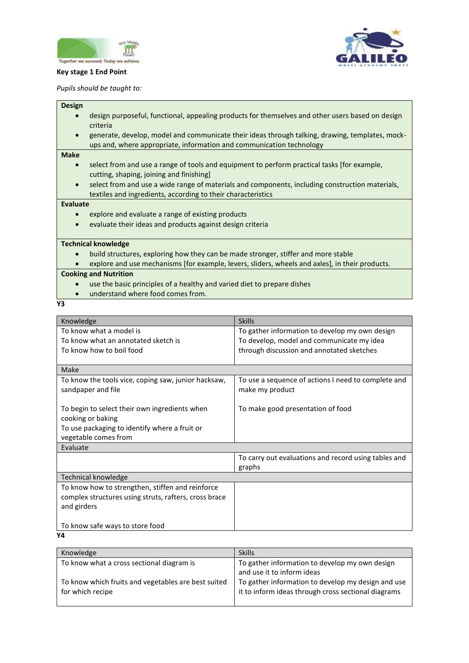

### **Key stage 1 End Point**

*Pupils should be taught to:* 

#### **Design**

- design purposeful, functional, appealing products for themselves and other users based on design criteria
- generate, develop, model and communicate their ideas through talking, drawing, templates, mockups and, where appropriate, information and communication technology

### **Make**

- select from and use a range of tools and equipment to perform practical tasks [for example, cutting, shaping, joining and finishing]
- select from and use a wide range of materials and components, including construction materials, textiles and ingredients, according to their characteristics

#### **Evaluate**

- explore and evaluate a range of existing products
- evaluate their ideas and products against design criteria

#### **Technical knowledge**

- build structures, exploring how they can be made stronger, stiffer and more stable
- explore and use mechanisms [for example, levers, sliders, wheels and axles], in their products.

### **Cooking and Nutrition**

- use the basic principles of a healthy and varied diet to prepare dishes
- understand where food comes from.
- **Y3**

| Knowledge                                             | <b>Skills</b>                                        |
|-------------------------------------------------------|------------------------------------------------------|
| To know what a model is                               | To gather information to develop my own design       |
| To know what an annotated sketch is                   | To develop, model and communicate my idea            |
| To know how to boil food                              | through discussion and annotated sketches            |
|                                                       |                                                      |
| Make                                                  |                                                      |
| To know the tools vice, coping saw, junior hacksaw,   | To use a sequence of actions I need to complete and  |
| sandpaper and file                                    | make my product                                      |
|                                                       |                                                      |
| To begin to select their own ingredients when         | To make good presentation of food                    |
| cooking or baking                                     |                                                      |
| To use packaging to identify where a fruit or         |                                                      |
| vegetable comes from                                  |                                                      |
| Evaluate                                              |                                                      |
|                                                       | To carry out evaluations and record using tables and |
|                                                       | graphs                                               |
| <b>Technical knowledge</b>                            |                                                      |
| To know how to strengthen, stiffen and reinforce      |                                                      |
| complex structures using struts, rafters, cross brace |                                                      |
| and girders                                           |                                                      |
|                                                       |                                                      |
| To know safe ways to store food                       |                                                      |

**Y4**

| Knowledge                                           | <b>Skills</b>                                       |
|-----------------------------------------------------|-----------------------------------------------------|
| To know what a cross sectional diagram is           | To gather information to develop my own design      |
|                                                     | and use it to inform ideas                          |
| To know which fruits and vegetables are best suited | To gather information to develop my design and use  |
| for which recipe                                    | it to inform ideas through cross sectional diagrams |
|                                                     |                                                     |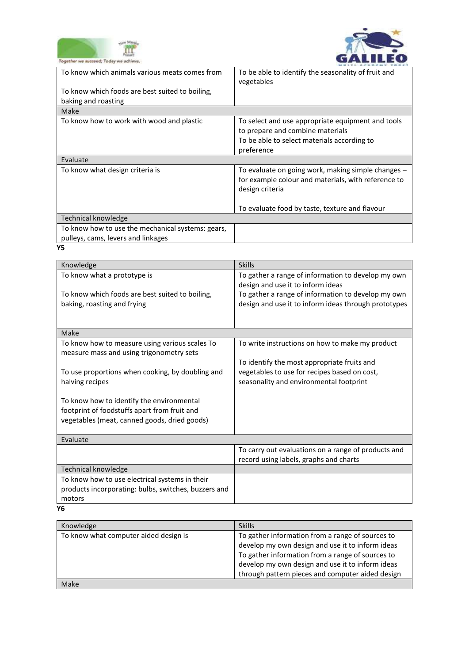



| logether we succeed; Today we achieve.                                                  |                                                                                                                                                    |
|-----------------------------------------------------------------------------------------|----------------------------------------------------------------------------------------------------------------------------------------------------|
| To know which animals various meats comes from                                          | To be able to identify the seasonality of fruit and<br>vegetables                                                                                  |
| To know which foods are best suited to boiling,<br>baking and roasting                  |                                                                                                                                                    |
| Make                                                                                    |                                                                                                                                                    |
| To know how to work with wood and plastic                                               | To select and use appropriate equipment and tools<br>to prepare and combine materials<br>To be able to select materials according to<br>preference |
| Evaluate                                                                                |                                                                                                                                                    |
| To know what design criteria is                                                         | To evaluate on going work, making simple changes –<br>for example colour and materials, with reference to<br>design criteria                       |
|                                                                                         | To evaluate food by taste, texture and flavour                                                                                                     |
| <b>Technical knowledge</b>                                                              |                                                                                                                                                    |
| To know how to use the mechanical systems: gears,<br>pulleys, cams, levers and linkages |                                                                                                                                                    |
| Υ5                                                                                      |                                                                                                                                                    |

| Knowledge                                                                                  | <b>Skills</b>                                        |
|--------------------------------------------------------------------------------------------|------------------------------------------------------|
| To know what a prototype is                                                                | To gather a range of information to develop my own   |
|                                                                                            | design and use it to inform ideas                    |
| To know which foods are best suited to boiling,                                            | To gather a range of information to develop my own   |
| baking, roasting and frying                                                                | design and use it to inform ideas through prototypes |
|                                                                                            |                                                      |
| Make                                                                                       |                                                      |
|                                                                                            |                                                      |
| To know how to measure using various scales To<br>measure mass and using trigonometry sets | To write instructions on how to make my product      |
|                                                                                            | To identify the most appropriate fruits and          |
| To use proportions when cooking, by doubling and                                           | vegetables to use for recipes based on cost,         |
| halving recipes                                                                            | seasonality and environmental footprint              |
|                                                                                            |                                                      |
| To know how to identify the environmental                                                  |                                                      |
| footprint of foodstuffs apart from fruit and                                               |                                                      |
| vegetables (meat, canned goods, dried goods)                                               |                                                      |
| Evaluate                                                                                   |                                                      |
|                                                                                            | To carry out evaluations on a range of products and  |
|                                                                                            | record using labels, graphs and charts               |
| <b>Technical knowledge</b>                                                                 |                                                      |
| To know how to use electrical systems in their                                             |                                                      |
| products incorporating: bulbs, switches, buzzers and                                       |                                                      |
| motors                                                                                     |                                                      |
|                                                                                            |                                                      |

**Y6**

| Knowledge                             | <b>Skills</b>                                                                                                                                                                                                |
|---------------------------------------|--------------------------------------------------------------------------------------------------------------------------------------------------------------------------------------------------------------|
| To know what computer aided design is | To gather information from a range of sources to<br>develop my own design and use it to inform ideas<br>To gather information from a range of sources to<br>develop my own design and use it to inform ideas |
| Make                                  | through pattern pieces and computer aided design                                                                                                                                                             |